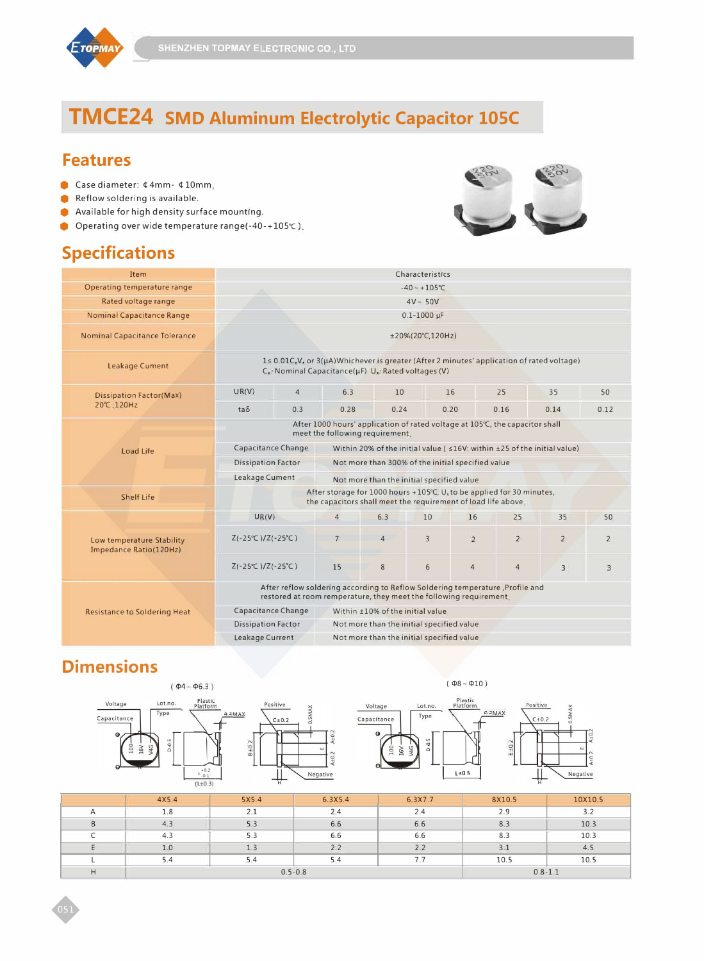

# **TMCE24 SMD Aluminum Electrolytic Capacitor 105C**

#### **Features**

- Case diameter: ¢ 4mm- ¢ 10mm.  $\bullet$
- Reflow soldering is available. ă
- Available for high density surface mounting. Ŏ
- Operating over wide temperature range(-40-+105℃).

### **Specifications**



| Item                                                | Characteristics                                                                                                                                                             |                       |                                                                                                                                                    |                |                                           |                |                |                |                |
|-----------------------------------------------------|-----------------------------------------------------------------------------------------------------------------------------------------------------------------------------|-----------------------|----------------------------------------------------------------------------------------------------------------------------------------------------|----------------|-------------------------------------------|----------------|----------------|----------------|----------------|
| Operating temperature range                         | $-40 \sim +105$ °C                                                                                                                                                          |                       |                                                                                                                                                    |                |                                           |                |                |                |                |
| Rated voltage range                                 | $4V \sim 50V$                                                                                                                                                               |                       |                                                                                                                                                    |                |                                           |                |                |                |                |
| <b>Nominal Capacitance Range</b>                    | $0.1 - 1000 \mu F$                                                                                                                                                          |                       |                                                                                                                                                    |                |                                           |                |                |                |                |
| <b>Nominal Capacitance Tolerance</b>                |                                                                                                                                                                             | $±20\% (20°C, 120Hz)$ |                                                                                                                                                    |                |                                           |                |                |                |                |
| <b>Leakage Cument</b>                               | $1 \le 0.01C_sV_s$ or $3(\mu A)$ Whichever is greater (After 2 minutes' application of rated voltage)<br>$C_{\kappa}$ : Nominal Capacitance( $\mu$ F) U. Rated voltages (V) |                       |                                                                                                                                                    |                |                                           |                |                |                |                |
| <b>Dissipation Factor(Max)</b>                      | UR(V)                                                                                                                                                                       | $\overline{4}$        | 6.3                                                                                                                                                | 10             |                                           | 16             | 25             | 35             | 50             |
| 20°C, 120Hz                                         | $ta\delta$                                                                                                                                                                  | 0.3                   | 0.28                                                                                                                                               | 0.24           |                                           | 0.20           | 0.16           | 0.14           | 0.12           |
|                                                     | After 1000 hours' application of rated voltage at 105°C, the capacitor shall<br>meet the following requirement.                                                             |                       |                                                                                                                                                    |                |                                           |                |                |                |                |
| Load Life                                           | Capacitance Change                                                                                                                                                          |                       | Within 20% of the initial value ( $\leq 16V$ : within $\pm 25$ of the initial value)                                                               |                |                                           |                |                |                |                |
|                                                     | <b>Dissipation Factor</b><br>Not more than 300% of the initial specified value                                                                                              |                       |                                                                                                                                                    |                |                                           |                |                |                |                |
|                                                     | Leakage Cument<br>Not more than the initial specified value                                                                                                                 |                       |                                                                                                                                                    |                |                                           |                |                |                |                |
| Shelf Life                                          |                                                                                                                                                                             |                       | After storage for 1000 hours +105°C, U <sub>s</sub> to be applied for 30 minutes,<br>the capacitors shall meet the requirement of load life above. |                |                                           |                |                |                |                |
|                                                     | UR(V)                                                                                                                                                                       |                       | $\overline{4}$                                                                                                                                     | 6.3            | 10                                        | 16             | 25             | 35             | 50             |
| Low temperature Stability<br>Impedance Ratio(120Hz) | $Z(-25^{\circ}C)/Z(-25^{\circ}C)$                                                                                                                                           |                       | $7\overline{ }$                                                                                                                                    | $\overline{4}$ | 3                                         | $\overline{2}$ | $\overline{2}$ | $\overline{2}$ | $\overline{2}$ |
|                                                     | $Z(-25°C) / Z(-25°C)$                                                                                                                                                       |                       | 15                                                                                                                                                 | 8              | 6                                         | $\overline{4}$ | $\overline{4}$ | $\overline{3}$ | 3.             |
|                                                     | After reflow soldering according to Reflow Soldering temperature, Profile and<br>restored at room remperature, they meet the following requirement.                         |                       |                                                                                                                                                    |                |                                           |                |                |                |                |
| <b>Resistance to Soldering Heat</b>                 | Capacitance Change                                                                                                                                                          |                       |                                                                                                                                                    |                | Within ±10% of the initial value          |                |                |                |                |
|                                                     | <b>Dissipation Factor</b><br>Not more than the initial specified value                                                                                                      |                       |                                                                                                                                                    |                |                                           |                |                |                |                |
|                                                     | Leakage Current                                                                                                                                                             |                       |                                                                                                                                                    |                | Not more than the initial specified value |                |                |                |                |

### **Dimensions**





|              | 4X5.4 | 5X5.4       | 6.3X5.4 | 6.3X7.7     | 8X10.5 | 10X10.5 |
|--------------|-------|-------------|---------|-------------|--------|---------|
| $\mathsf{A}$ | 1.8   | 2.1         | 2.4     | 2.4         | 2.9    | 3.2     |
| B            | 4.3   | 5.3         | 6.6     | 6.6         | 8.3    | 10.3    |
|              | 4.3   | 5.3         | 6.6     | 6.6         | 8.3    | 10.3    |
|              | 1.0   | 1.3         | 2.2     | 2.2         | 3.1    | 4.5     |
|              | 5.4   | 5.4         | 5.4     |             | 10.5   | 10.5    |
| н            |       | $0.5 - 0.8$ |         | $0.8 - 1.1$ |        |         |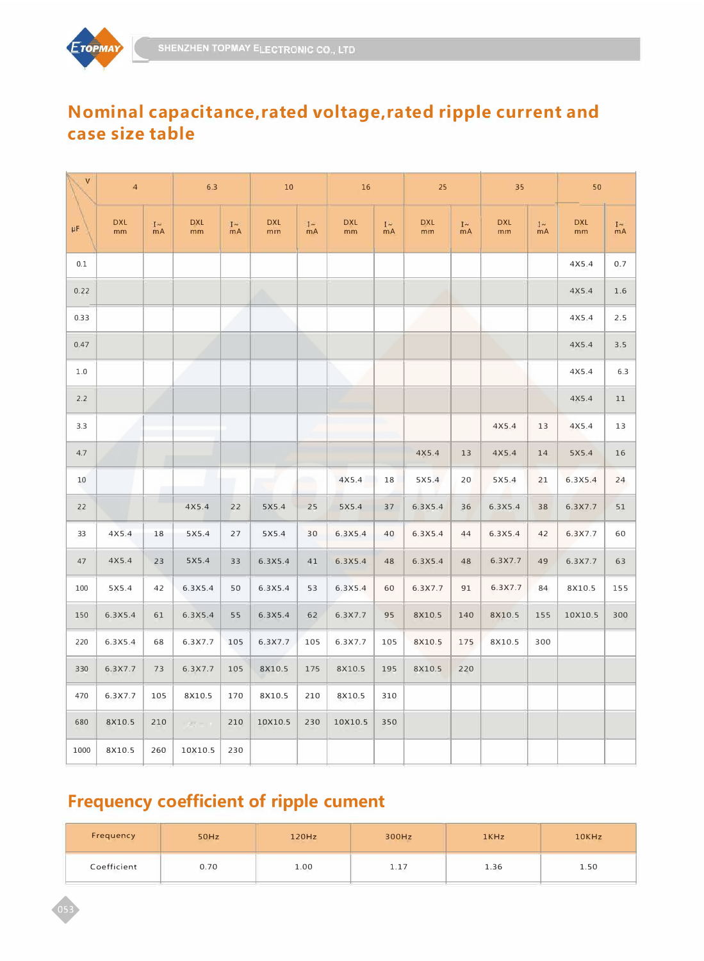

#### **Nominal capacitance,rated voltage,rated ripple current and case size table**

| V    | $\overline{4}$              |             | 6.3              |             | $10\,$           |            | 16                          |             | 25               |             | 35                          |             | 50                          |                |
|------|-----------------------------|-------------|------------------|-------------|------------------|------------|-----------------------------|-------------|------------------|-------------|-----------------------------|-------------|-----------------------------|----------------|
| μF   | <b>DXL</b><br>$\mathsf{mm}$ | $1 -$<br>mA | <b>DXL</b><br>mm | $I -$<br>mA | <b>DXL</b><br>mm | $1-$<br>mA | <b>DXL</b><br>$\mathsf{mm}$ | $1 -$<br>mA | <b>DXL</b><br>mm | $1 -$<br>mA | <b>DXL</b><br>$\mathsf{mm}$ | $I -$<br>mA | <b>DXL</b><br>$\mathsf{mm}$ | $I \sim$<br>mA |
| 0.1  |                             |             |                  |             |                  |            |                             |             |                  |             |                             |             | 4X5.4                       | 0.7            |
| 0.22 |                             |             |                  |             |                  |            |                             |             |                  |             |                             |             | 4X5.4                       | 1.6            |
| 0.33 |                             |             |                  |             |                  |            |                             |             |                  |             |                             |             | 4X5.4                       | 2.5            |
| 0.47 |                             |             |                  |             |                  |            |                             |             |                  |             |                             |             | 4X5.4                       | 3.5            |
| 1.0  |                             |             |                  |             |                  |            |                             |             |                  |             |                             |             | 4X5.4                       | 6.3            |
| 2.2  |                             |             |                  |             |                  |            |                             |             |                  |             |                             |             | 4X5.4                       | 11             |
| 3.3  |                             |             |                  |             |                  |            |                             |             |                  |             | 4X5.4                       | 13          | 4X5.4                       | 13             |
| 4.7  |                             |             |                  |             |                  |            |                             |             | 4X5.4            | 13          | 4X5.4                       | 14          | 5X5.4                       | 16             |
| 10   |                             |             |                  | W           | $\sim$           | m,         | 4X5.4                       | 18          | 5X5.4            | 20          | 5X5.4                       | 21          | 6.3X5.4                     | 24             |
| 22   |                             |             | 4X5.4            | 22          | 5X5.4            | 25         | 5X5.4                       | 37          | 6.3X5.4          | 36          | 6.3X5.4                     | 38          | 6.3X7.7                     | 51             |
| 33   | 4X5.4                       | 18          | 5X5.4            | 27          | 5X5.4            | 30         | 6.3X5.4                     | 40          | 6.3X5.4          | 44          | 6.3X5.4                     | 42          | 6.3X7.7                     | 60             |
| 47   | 4X5.4                       | 23          | 5X5.4            | 33          | 6.3X5.4          | 41         | 6.3X5.4                     | 48          | 6.3X5.4          | 48          | 6.3X7.7                     | 49          | 6.3X7.7                     | 63             |
| 100  | 5X5.4                       | 42          | 6.3X5.4          | 50          | 6.3X5.4          | 53         | 6.3X5.4                     | 60          | 6.3X7.7          | 91          | 6.3X7.7                     | 84          | 8X10.5                      | 155            |
| 150  | 6.3X5.4                     | 61          | 6.3X5.4          | 55          | 6.3X5.4          | 62         | 6.3X7.7                     | 95          | 8X10.5           | 140         | 8X10.5                      | 155         | 10X10.5                     | 300            |
| 220  | 6.3X5.4                     | 68          | 6.3X7.7          | 105         | 6.3X7.7          | 105        | 6.3X7.7                     | 105         | 8X10.5           | 175         | 8X10.5                      | 300         |                             |                |
| 330  | 6.3X7.7                     | 73          | 6.3X7.7          | 105         | 8X10.5           | 175        | 8X10.5                      | 195         | 8X10.5           | 220         |                             |             |                             |                |
| 470  | 6.3X7.7                     | 105         | 8X10.5           | 170         | 8X10.5           | 210        | 8X10.5                      | 310         |                  |             |                             |             |                             |                |
| 680  | 8X10.5                      | 210         | $25 - 11$        | 210         | 10X10.5          | 230        | 10X10.5                     | 350         |                  |             |                             |             |                             |                |
| 1000 | 8X10.5                      | 260         | 10X10.5          | 230         |                  |            |                             |             |                  |             |                             |             |                             |                |

## **Frequency coefficient of ripple cument**

| Frequency   | 50Hz | 120Hz | 300Hz | 1KHz | 10KHz |  |
|-------------|------|-------|-------|------|-------|--|
| Coefficient | 0.70 | 1.00  | 1.17  | 1.36 | 1.50  |  |